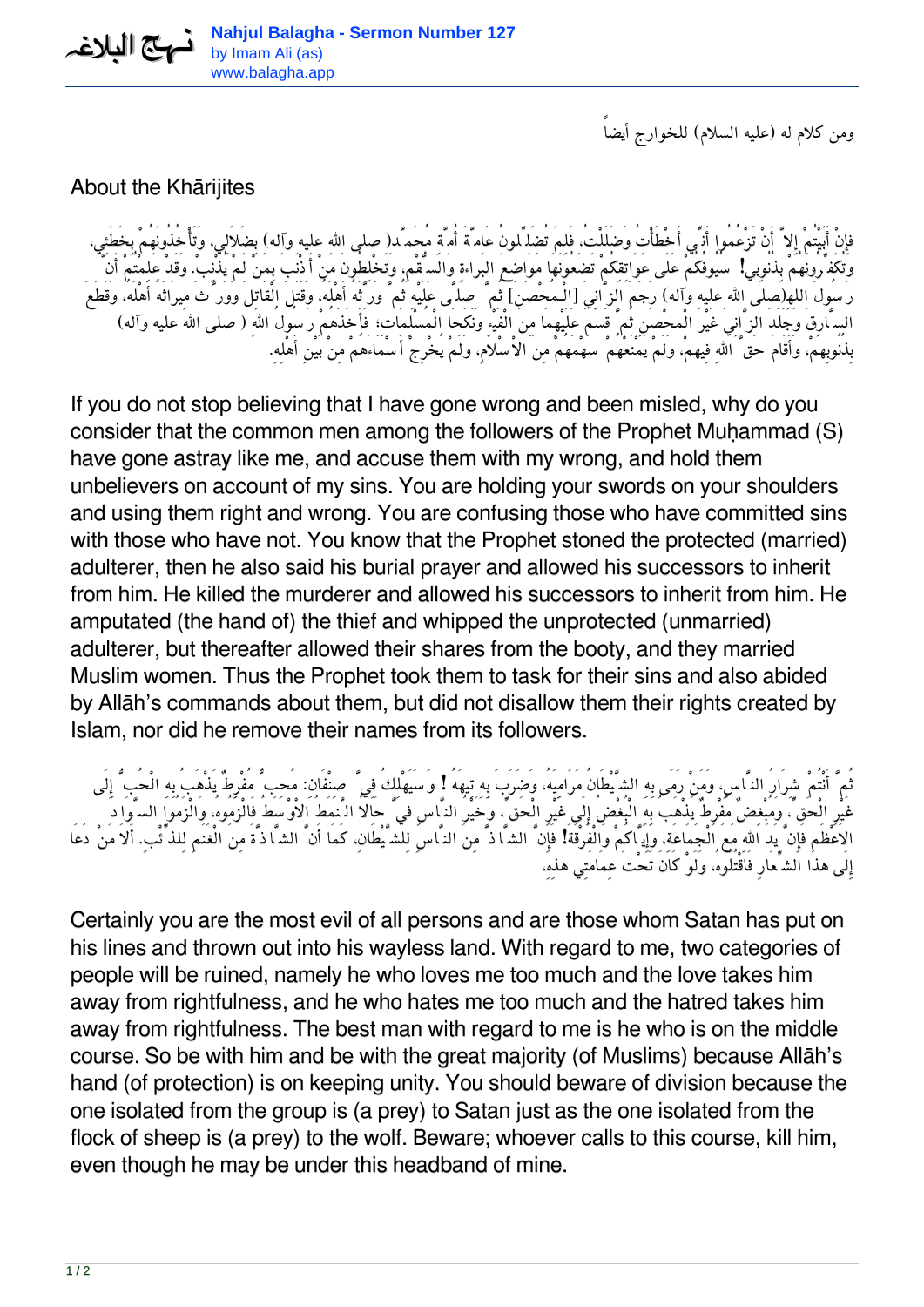*ومن كلام له (عليه السلام) للخوارج أيضاً*

## About the Khārijites

فإِنْ أَبَيْتُمْ إِلاَّ أَنْ تَزْعُمُوا أَن<sub>ِّي</sub> أَخْطَأْتُ وَضَلَلْتُ، فَلِمَ تُضَلِّلُونُ عَامَّةَ أُمَّةٍ مُحَمَّد(صلى الله عليه وآله) بِضَلاَلِي، وَتَأْخُذُونَهُمْ بِخَطَئِي، *وَتُكَفِّرُونَهُمْ بِذُنُوِبي! سُيُوفُكُمْ عَلَى عَوَاتِقِكُمْ تَضَعُونَهَا مَوَاضِعَ البَراءةِ وَالسُّقْم،ِ وَتَخْلِطُونَ مَنْ أَذْنَبَ بِمَنْ لَمْ يُذْنِب.ْ وَقَدْ عَلِمْتُمْ أَنَّ رَسُولَ اللهِ(صلى االله عليه وآله) رَجَمَ الزَّانِيَ [الْـمُحْصَنَ] ثُمَّ صَلَّى عَلَيْهِ ثُمَّ وَرَّثَهُ أَهْلَه،ُ وَقَتَلَ الْقَاتِلَ وَوَرَّثَ مِيرَاثَهُ أَهْلَه،ُ وَقَطَعَ السَّارِقَ وَجَلَدَ الزَّانِيَ غَيْرَ الْمحْصَنِ ثُمَّ قَسَمَ عَلَيْهِمَا مِنَ الْفَيْءِ وَنَكَحَا الْمُسْلِمَاتِ; فَأَخَذَهُمْ رَسُولُ االلهِ (صلى االله عليه وآله) بِذُنُوبِهم،ْ وَأَقَامَ حَقَّ االلهِ فِيهم،ْ وَلَمْ يَمْنَعْهُمْ سَهْمَهُمْ مِنَ الاْسْلاَم،ِ وَلَمْ يُخْرِجْ أَسْمَاءَهُمْ مِنْ بَيْنِ أَهْلِه.ِ*

If you do not stop believing that I have gone wrong and been misled, why do you consider that the common men among the followers of the Prophet Muḥammad (S) have gone astray like me, and accuse them with my wrong, and hold them unbelievers on account of my sins. You are holding your swords on your shoulders and using them right and wrong. You are confusing those who have committed sins with those who have not. You know that the Prophet stoned the protected (married) adulterer, then he also said his burial prayer and allowed his successors to inherit from him. He killed the murderer and allowed his successors to inherit from him. He amputated (the hand of) the thief and whipped the unprotected (unmarried) adulterer, but thereafter allowed their shares from the booty, and they married Muslim women. Thus the Prophet took them to task for their sins and also abided by Allāh's commands about them, but did not disallow them their rights created by Islam, nor did he remove their names from its followers.

*ثُمَّ أَنْتُمْ شِرَارُ النَّاس،ِ وَمَنْ رَمَى بِهِ الشَّيْطَانُ مَرَامِيَه،ُ وَضَرَبَ بِهِ تِيهَهُ ! وَسَيَهْلِكُ فِيَّ صِنْفَان:ِ مُحِبٌّ مُفْرِطٌ يَذْهَبُ بِهِ الْحُبُّ إِلَى غَيْرِ الْحَقِّ، وَمُبْغِضٌ مُفْرِطٌ يَذْهَبُ بِهِ الْبُغْضُ إِلَى غَيْرِ الْحَقِّ، وَخَيْرُ النَّاسِ فيَّ حَالاً الَّنمَطُ الاْوْسَطُ فَالْزَمُوه،ُ وَالْزَمُوا السَّوَادَ الاَعْظَم فَإِنَّ يَدَ االلهِ مَعَ الْجَمَاعَة،ِ وَإِيَّاكُمْ وَالْفُرْقَةَ! فَإِنَّ الشَّاذَّ مِنَ النَّاسِ لِلشَّيْطَان،ِ كَمَا أَنَّ الشَّاذَّةَ مِنَ الْغَنَمِ لِلذِّئْب.ِ أَلاَ مَنْ دَعَا إِلَى هذَا الشِّعَارِ فَاقْتُلُوه،ُ وَلَوْ كَانَ تَحْتَ عِمَامَتِي هذِه،ِ*

Certainly you are the most evil of all persons and are those whom Satan has put on his lines and thrown out into his wayless land. With regard to me, two categories of people will be ruined, namely he who loves me too much and the love takes him away from rightfulness, and he who hates me too much and the hatred takes him away from rightfulness. The best man with regard to me is he who is on the middle course. So be with him and be with the great majority (of Muslims) because Allāh's hand (of protection) is on keeping unity. You should beware of division because the one isolated from the group is (a prey) to Satan just as the one isolated from the flock of sheep is (a prey) to the wolf. Beware; whoever calls to this course, kill him, even though he may be under this headband of mine.